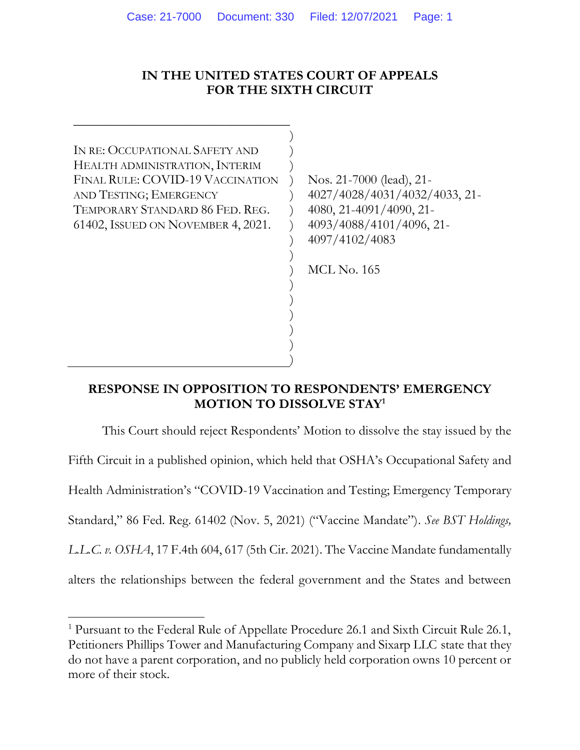## **IN THE UNITED STATES COURT OF APPEALS FOR THE SIXTH CIRCUIT**

) ) ) ) )  $\left( \right)$ ) ) ) ) ) ) ) ) ) )

IN RE: OCCUPATIONAL SAFETY AND HEALTH ADMINISTRATION, INTERIM FINAL RULE: COVID-19 VACCINATION AND TESTING; EMERGENCY TEMPORARY STANDARD 86 FED. REG. 61402, ISSUED ON NOVEMBER 4, 2021.

\_\_\_\_\_\_\_\_\_\_\_\_\_\_\_\_\_\_\_\_\_\_\_\_\_\_\_\_\_\_\_\_\_

Nos. 21-7000 (lead), 21- 4027/4028/4031/4032/4033, 21- 4080, 21-4091/4090, 21- 4093/4088/4101/4096, 21- 4097/4102/4083

MCL No. 165

## **RESPONSE IN OPPOSITION TO RESPONDENTS' EMERGENCY MOTION TO DISSOLVE STAY<sup>1</sup>**

This Court should reject Respondents' Motion to dissolve the stay issued by the Fifth Circuit in a published opinion, which held that OSHA's Occupational Safety and Health Administration's "COVID-19 Vaccination and Testing; Emergency Temporary Standard," 86 Fed. Reg. 61402 (Nov. 5, 2021) ("Vaccine Mandate"). *See BST Holdings, L.L.C. v. OSHA*, 17 F.4th 604, 617 (5th Cir. 2021). The Vaccine Mandate fundamentally alters the relationships between the federal government and the States and between

<sup>1</sup> Pursuant to the Federal Rule of Appellate Procedure 26.1 and Sixth Circuit Rule 26.1, Petitioners Phillips Tower and Manufacturing Company and Sixarp LLC state that they do not have a parent corporation, and no publicly held corporation owns 10 percent or more of their stock.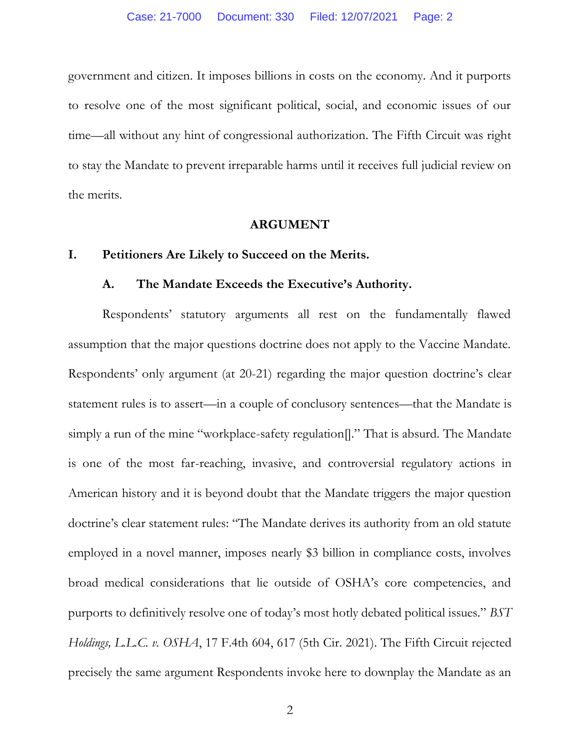government and citizen. It imposes billions in costs on the economy. And it purports to resolve one of the most significant political, social, and economic issues of our time—all without any hint of congressional authorization. The Fifth Circuit was right to stay the Mandate to prevent irreparable harms until it receives full judicial review on the merits.

#### **ARGUMENT**

### **I. Petitioners Are Likely to Succeed on the Merits.**

### **A. The Mandate Exceeds the Executive's Authority.**

Respondents' statutory arguments all rest on the fundamentally flawed assumption that the major questions doctrine does not apply to the Vaccine Mandate. Respondents' only argument (at 20-21) regarding the major question doctrine's clear statement rules is to assert—in a couple of conclusory sentences—that the Mandate is simply a run of the mine "workplace-safety regulation<sup>[]</sup>." That is absurd. The Mandate is one of the most far-reaching, invasive, and controversial regulatory actions in American history and it is beyond doubt that the Mandate triggers the major question doctrine's clear statement rules: "The Mandate derives its authority from an old statute employed in a novel manner, imposes nearly \$3 billion in compliance costs, involves broad medical considerations that lie outside of OSHA's core competencies, and purports to definitively resolve one of today's most hotly debated political issues." *BST Holdings, L.L.C. v. OSHA*, 17 F.4th 604, 617 (5th Cir. 2021). The Fifth Circuit rejected precisely the same argument Respondents invoke here to downplay the Mandate as an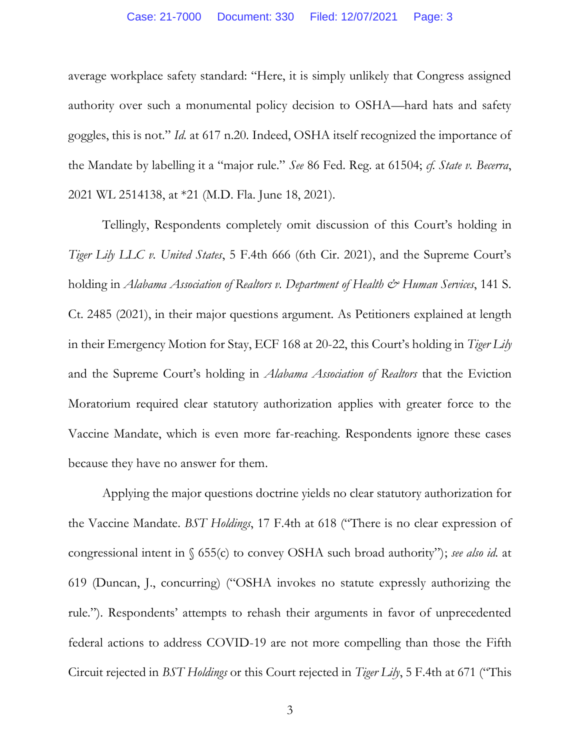average workplace safety standard: "Here, it is simply unlikely that Congress assigned authority over such a monumental policy decision to OSHA—hard hats and safety goggles, this is not." *Id.* at 617 n.20. Indeed, OSHA itself recognized the importance of the Mandate by labelling it a "major rule." *See* 86 Fed. Reg. at 61504; *cf. State v. Becerra*, 2021 WL 2514138, at \*21 (M.D. Fla. June 18, 2021).

Tellingly, Respondents completely omit discussion of this Court's holding in *Tiger Lily LLC v. United States*, 5 F.4th 666 (6th Cir. 2021), and the Supreme Court's holding in *Alabama Association of Realtors v. Department of Health & Human Services*, 141 S. Ct. 2485 (2021), in their major questions argument. As Petitioners explained at length in their Emergency Motion for Stay, ECF 168 at 20-22, this Court's holding in *Tiger Lily*  and the Supreme Court's holding in *Alabama Association of Realtors* that the Eviction Moratorium required clear statutory authorization applies with greater force to the Vaccine Mandate, which is even more far-reaching. Respondents ignore these cases because they have no answer for them.

Applying the major questions doctrine yields no clear statutory authorization for the Vaccine Mandate. *BST Holdings*, 17 F.4th at 618 ("There is no clear expression of congressional intent in § 655(c) to convey OSHA such broad authority"); *see also id.* at 619 (Duncan, J., concurring) ("OSHA invokes no statute expressly authorizing the rule."). Respondents' attempts to rehash their arguments in favor of unprecedented federal actions to address COVID-19 are not more compelling than those the Fifth Circuit rejected in *BST Holdings* or this Court rejected in *Tiger Lily*, 5 F.4th at 671 ("This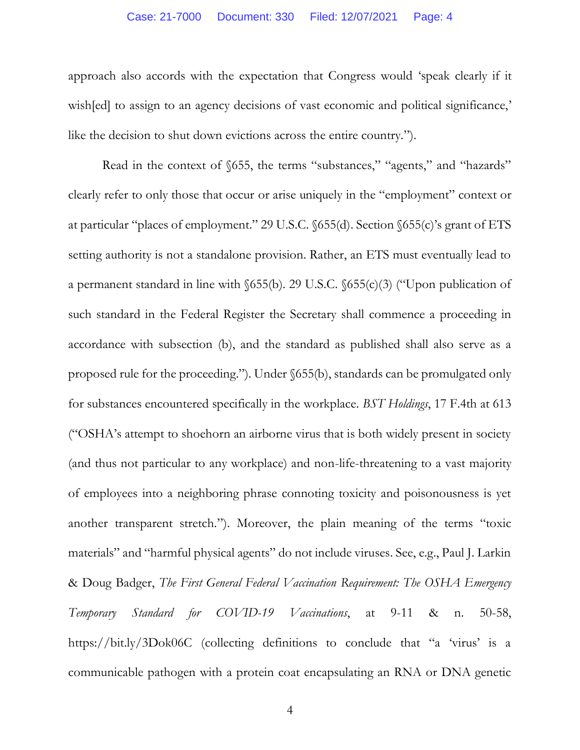#### Case: 21-7000 Document: 330 Filed: 12/07/2021 Page: 4

approach also accords with the expectation that Congress would 'speak clearly if it wish [ed] to assign to an agency decisions of vast economic and political significance,' like the decision to shut down evictions across the entire country.").

Read in the context of §655, the terms "substances," "agents," and "hazards" clearly refer to only those that occur or arise uniquely in the "employment" context or at particular "places of employment." 29 U.S.C. §655(d). Section §655(c)'s grant of ETS setting authority is not a standalone provision. Rather, an ETS must eventually lead to a permanent standard in line with §655(b). 29 U.S.C. §655(c)(3) ("Upon publication of such standard in the Federal Register the Secretary shall commence a proceeding in accordance with subsection (b), and the standard as published shall also serve as a proposed rule for the proceeding."). Under §655(b), standards can be promulgated only for substances encountered specifically in the workplace. *BST Holdings*, 17 F.4th at 613 ("OSHA's attempt to shoehorn an airborne virus that is both widely present in society (and thus not particular to any workplace) and non-life-threatening to a vast majority of employees into a neighboring phrase connoting toxicity and poisonousness is yet another transparent stretch."). Moreover, the plain meaning of the terms "toxic materials" and "harmful physical agents" do not include viruses. See, e.g., Paul J. Larkin & Doug Badger, *The First General Federal Vaccination Requirement: The OSHA Emergency Temporary Standard for COVID-19 Vaccinations*, at 9-11 & n. 50-58, https://bit.ly/3Dok06C (collecting definitions to conclude that "a 'virus' is a communicable pathogen with a protein coat encapsulating an RNA or DNA genetic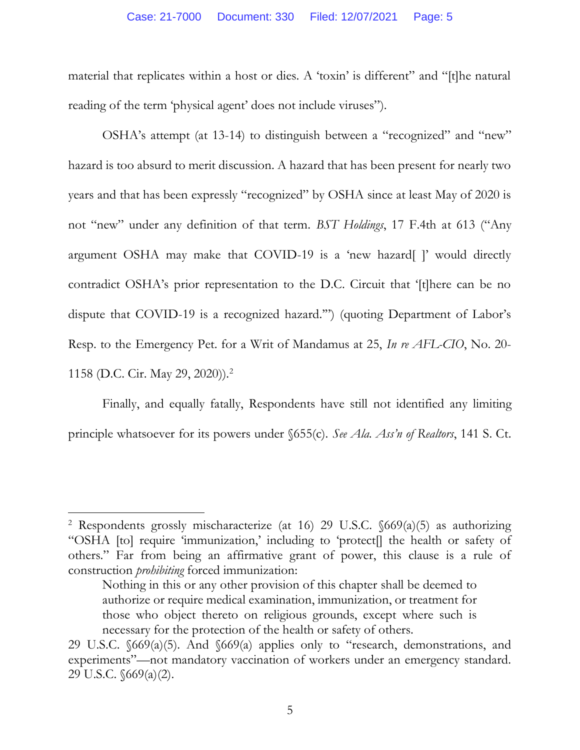material that replicates within a host or dies. A 'toxin' is different" and "[t]he natural reading of the term 'physical agent' does not include viruses").

OSHA's attempt (at 13-14) to distinguish between a "recognized" and "new" hazard is too absurd to merit discussion. A hazard that has been present for nearly two years and that has been expressly "recognized" by OSHA since at least May of 2020 is not "new" under any definition of that term. *BST Holdings*, 17 F.4th at 613 ("Any argument OSHA may make that COVID-19 is a 'new hazard[ ]' would directly contradict OSHA's prior representation to the D.C. Circuit that '[t]here can be no dispute that COVID-19 is a recognized hazard.'") (quoting Department of Labor's Resp. to the Emergency Pet. for a Writ of Mandamus at 25, *In re AFL-CIO*, No. 20- 1158 (D.C. Cir. May 29, 2020)).<sup>2</sup>

Finally, and equally fatally, Respondents have still not identified any limiting principle whatsoever for its powers under §655(c). *See Ala. Ass'n of Realtors*, 141 S. Ct.

<sup>&</sup>lt;sup>2</sup> Respondents grossly mischaracterize (at 16) 29 U.S.C.  $\delta 69(a)(5)$  as authorizing "OSHA [to] require 'immunization,' including to 'protect[] the health or safety of others." Far from being an affirmative grant of power, this clause is a rule of construction *prohibiting* forced immunization:

Nothing in this or any other provision of this chapter shall be deemed to authorize or require medical examination, immunization, or treatment for those who object thereto on religious grounds, except where such is necessary for the protection of the health or safety of others.

<sup>29</sup> U.S.C. §669(a)(5). And §669(a) applies only to "research, demonstrations, and experiments"—not mandatory vaccination of workers under an emergency standard. 29 U.S.C. §669(a)(2).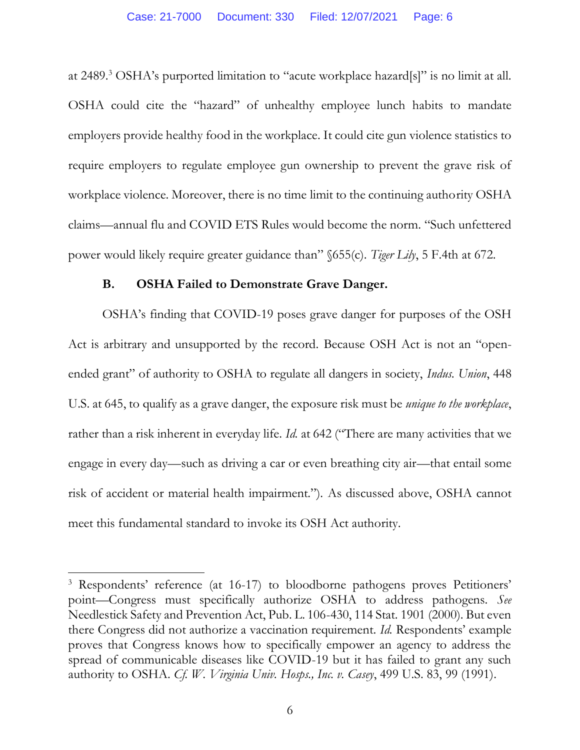at 2489. <sup>3</sup> OSHA's purported limitation to "acute workplace hazard[s]" is no limit at all. OSHA could cite the "hazard" of unhealthy employee lunch habits to mandate employers provide healthy food in the workplace. It could cite gun violence statistics to require employers to regulate employee gun ownership to prevent the grave risk of workplace violence. Moreover, there is no time limit to the continuing authority OSHA claims—annual flu and COVID ETS Rules would become the norm. "Such unfettered power would likely require greater guidance than" §655(c). *Tiger Lily*, 5 F.4th at 672.

### **B. OSHA Failed to Demonstrate Grave Danger.**

OSHA's finding that COVID-19 poses grave danger for purposes of the OSH Act is arbitrary and unsupported by the record. Because OSH Act is not an "openended grant" of authority to OSHA to regulate all dangers in society, *Indus. Union*, 448 U.S. at 645, to qualify as a grave danger, the exposure risk must be *unique to the workplace*, rather than a risk inherent in everyday life. *Id.* at 642 ("There are many activities that we engage in every day—such as driving a car or even breathing city air—that entail some risk of accident or material health impairment."). As discussed above, OSHA cannot meet this fundamental standard to invoke its OSH Act authority.

<sup>3</sup> Respondents' reference (at 16-17) to bloodborne pathogens proves Petitioners' point—Congress must specifically authorize OSHA to address pathogens. *See*  Needlestick Safety and Prevention Act, Pub. L. 106-430, 114 Stat. 1901 (2000). But even there Congress did not authorize a vaccination requirement. *Id.* Respondents' example proves that Congress knows how to specifically empower an agency to address the spread of communicable diseases like COVID-19 but it has failed to grant any such authority to OSHA. *Cf. W. Virginia Univ. Hosps., Inc. v. Casey*, 499 U.S. 83, 99 (1991).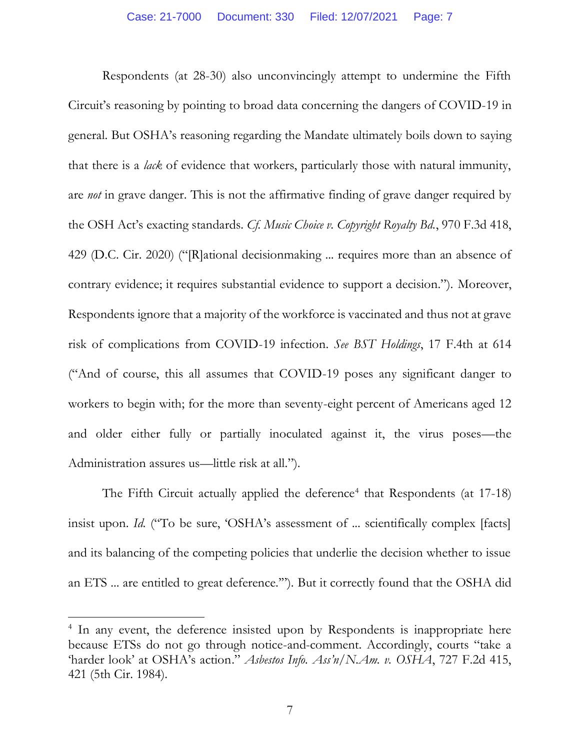Respondents (at 28-30) also unconvincingly attempt to undermine the Fifth Circuit's reasoning by pointing to broad data concerning the dangers of COVID-19 in general. But OSHA's reasoning regarding the Mandate ultimately boils down to saying that there is a *lack* of evidence that workers, particularly those with natural immunity, are *not* in grave danger. This is not the affirmative finding of grave danger required by the OSH Act's exacting standards. *Cf. Music Choice v. Copyright Royalty Bd.*, 970 F.3d 418, 429 (D.C. Cir. 2020) ("[R]ational decisionmaking ... requires more than an absence of contrary evidence; it requires substantial evidence to support a decision."). Moreover, Respondents ignore that a majority of the workforce is vaccinated and thus not at grave risk of complications from COVID-19 infection. *See BST Holdings*, 17 F.4th at 614 ("And of course, this all assumes that COVID-19 poses any significant danger to workers to begin with; for the more than seventy-eight percent of Americans aged 12 and older either fully or partially inoculated against it, the virus poses—the Administration assures us—little risk at all.").

The Fifth Circuit actually applied the deference<sup>4</sup> that Respondents (at 17-18) insist upon. *Id.* ("To be sure, 'OSHA's assessment of ... scientifically complex [facts] and its balancing of the competing policies that underlie the decision whether to issue an ETS ... are entitled to great deference.'"). But it correctly found that the OSHA did

<sup>&</sup>lt;sup>4</sup> In any event, the deference insisted upon by Respondents is inappropriate here because ETSs do not go through notice-and-comment. Accordingly, courts "take a 'harder look' at OSHA's action." *Asbestos Info. Ass'n/N.Am. v. OSHA*, 727 F.2d 415, 421 (5th Cir. 1984).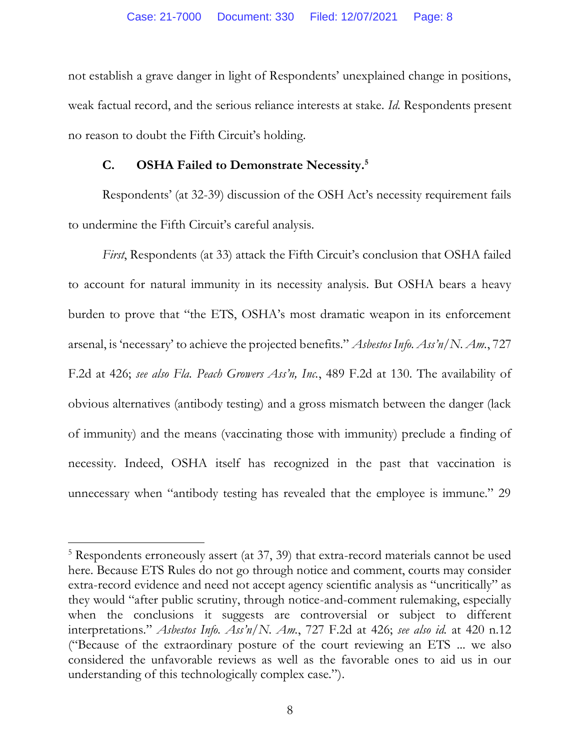not establish a grave danger in light of Respondents' unexplained change in positions, weak factual record, and the serious reliance interests at stake. *Id.* Respondents present no reason to doubt the Fifth Circuit's holding.

## **C. OSHA Failed to Demonstrate Necessity. 5**

Respondents' (at 32-39) discussion of the OSH Act's necessity requirement fails to undermine the Fifth Circuit's careful analysis.

*First*, Respondents (at 33) attack the Fifth Circuit's conclusion that OSHA failed to account for natural immunity in its necessity analysis. But OSHA bears a heavy burden to prove that "the ETS, OSHA's most dramatic weapon in its enforcement arsenal, is 'necessary' to achieve the projected benefits." *Asbestos Info. Ass'n/N. Am.*, 727 F.2d at 426; *see also Fla. Peach Growers Ass'n, Inc.*, 489 F.2d at 130. The availability of obvious alternatives (antibody testing) and a gross mismatch between the danger (lack of immunity) and the means (vaccinating those with immunity) preclude a finding of necessity. Indeed, OSHA itself has recognized in the past that vaccination is unnecessary when "antibody testing has revealed that the employee is immune." 29

<sup>5</sup> Respondents erroneously assert (at 37, 39) that extra-record materials cannot be used here. Because ETS Rules do not go through notice and comment, courts may consider extra-record evidence and need not accept agency scientific analysis as "uncritically" as they would "after public scrutiny, through notice-and-comment rulemaking, especially when the conclusions it suggests are controversial or subject to different interpretations." *Asbestos Info. Ass'n/N. Am.*, 727 F.2d at 426; *see also id.* at 420 n.12 ("Because of the extraordinary posture of the court reviewing an ETS ... we also considered the unfavorable reviews as well as the favorable ones to aid us in our understanding of this technologically complex case.").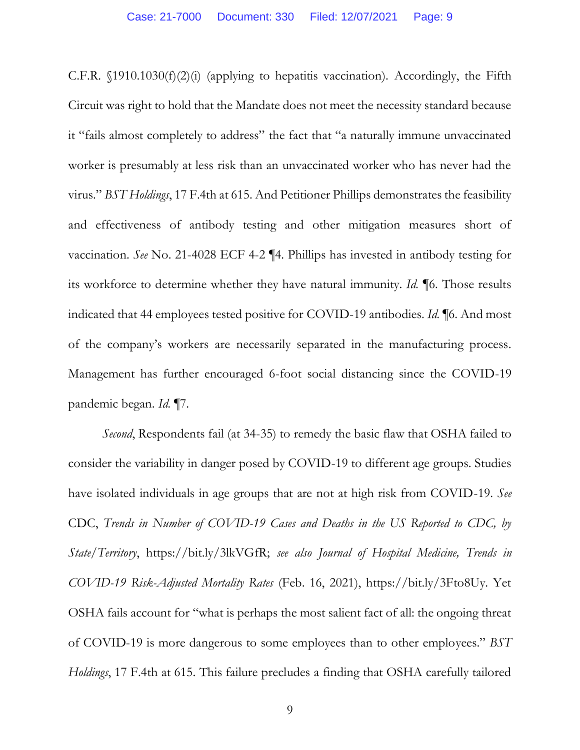C.F.R.  $\{1910.1030(f)(2)(i)$  (applying to hepatitis vaccination). Accordingly, the Fifth Circuit was right to hold that the Mandate does not meet the necessity standard because it "fails almost completely to address" the fact that "a naturally immune unvaccinated worker is presumably at less risk than an unvaccinated worker who has never had the virus." *BST Holdings*, 17 F.4th at 615. And Petitioner Phillips demonstrates the feasibility and effectiveness of antibody testing and other mitigation measures short of vaccination. *See* No. 21-4028 ECF 4-2 ¶4. Phillips has invested in antibody testing for its workforce to determine whether they have natural immunity. *Id.* ¶6. Those results indicated that 44 employees tested positive for COVID-19 antibodies. *Id.* ¶6. And most of the company's workers are necessarily separated in the manufacturing process. Management has further encouraged 6-foot social distancing since the COVID-19 pandemic began. *Id.* ¶7.

*Second*, Respondents fail (at 34-35) to remedy the basic flaw that OSHA failed to consider the variability in danger posed by COVID-19 to different age groups. Studies have isolated individuals in age groups that are not at high risk from COVID-19. *See* CDC, *Trends in Number of COVID-19 Cases and Deaths in the US Reported to CDC, by State/Territory*, https://bit.ly/3lkVGfR; *see also Journal of Hospital Medicine, Trends in COVID-19 Risk-Adjusted Mortality Rates* (Feb. 16, 2021), https://bit.ly/3Fto8Uy. Yet OSHA fails account for "what is perhaps the most salient fact of all: the ongoing threat of COVID-19 is more dangerous to some employees than to other employees." *BST Holdings*, 17 F.4th at 615. This failure precludes a finding that OSHA carefully tailored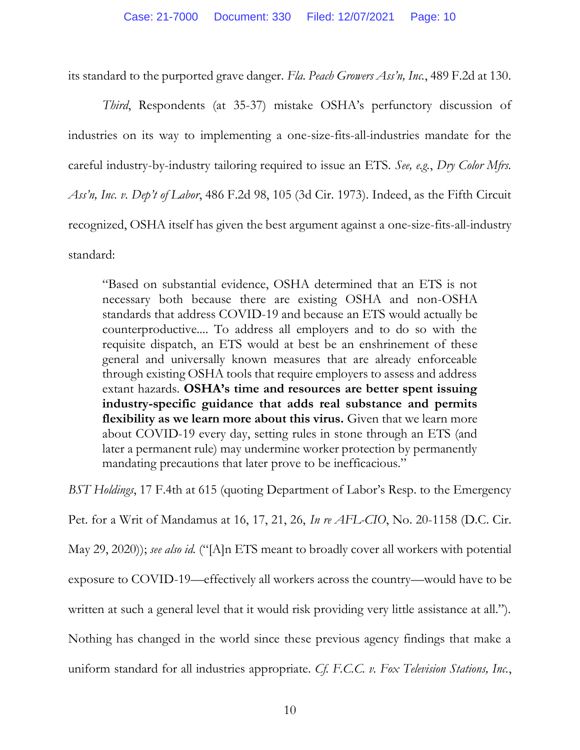its standard to the purported grave danger. *Fla. Peach Growers Ass'n, Inc.*, 489 F.2d at 130.

*Third*, Respondents (at 35-37) mistake OSHA's perfunctory discussion of industries on its way to implementing a one-size-fits-all-industries mandate for the careful industry-by-industry tailoring required to issue an ETS. *See, e.g.*, *Dry Color Mfrs. Ass'n, Inc. v. Dep't of Labor*, 486 F.2d 98, 105 (3d Cir. 1973). Indeed, as the Fifth Circuit recognized, OSHA itself has given the best argument against a one-size-fits-all-industry standard:

"Based on substantial evidence, OSHA determined that an ETS is not necessary both because there are existing OSHA and non-OSHA standards that address COVID-19 and because an ETS would actually be counterproductive.... To address all employers and to do so with the requisite dispatch, an ETS would at best be an enshrinement of these general and universally known measures that are already enforceable through existing OSHA tools that require employers to assess and address extant hazards. **OSHA's time and resources are better spent issuing industry-specific guidance that adds real substance and permits flexibility as we learn more about this virus.** Given that we learn more about COVID-19 every day, setting rules in stone through an ETS (and later a permanent rule) may undermine worker protection by permanently mandating precautions that later prove to be inefficacious."

*BST Holdings*, 17 F.4th at 615 (quoting Department of Labor's Resp. to the Emergency

Pet. for a Writ of Mandamus at 16, 17, 21, 26, *In re AFL-CIO*, No. 20-1158 (D.C. Cir. May 29, 2020)); *see also id.* ("[A]n ETS meant to broadly cover all workers with potential exposure to COVID-19—effectively all workers across the country—would have to be written at such a general level that it would risk providing very little assistance at all."). Nothing has changed in the world since these previous agency findings that make a uniform standard for all industries appropriate. *Cf. F.C.C. v. Fox Television Stations, Inc.*,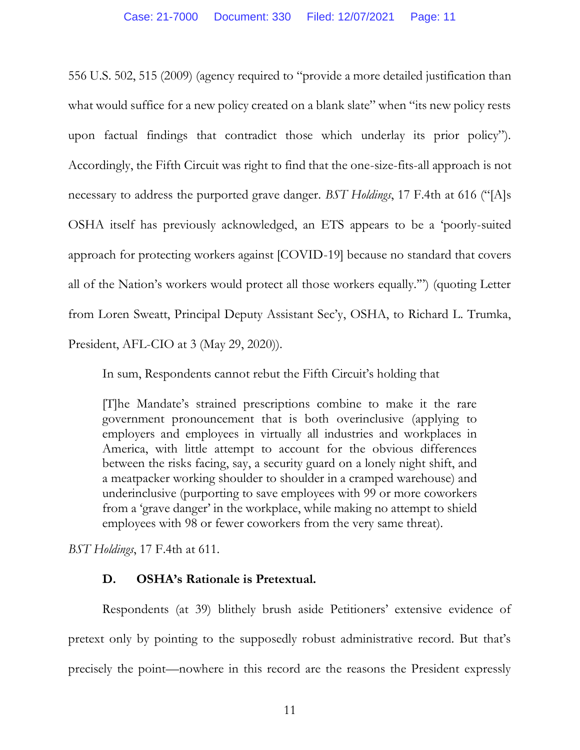556 U.S. 502, 515 (2009) (agency required to "provide a more detailed justification than what would suffice for a new policy created on a blank slate" when "its new policy rests upon factual findings that contradict those which underlay its prior policy"). Accordingly, the Fifth Circuit was right to find that the one-size-fits-all approach is not necessary to address the purported grave danger. *BST Holdings*, 17 F.4th at 616 ("[A]s OSHA itself has previously acknowledged, an ETS appears to be a 'poorly-suited approach for protecting workers against [COVID-19] because no standard that covers all of the Nation's workers would protect all those workers equally.'") (quoting Letter from Loren Sweatt, Principal Deputy Assistant Sec'y, OSHA, to Richard L. Trumka, President, AFL-CIO at 3 (May 29, 2020)).

In sum, Respondents cannot rebut the Fifth Circuit's holding that

[T]he Mandate's strained prescriptions combine to make it the rare government pronouncement that is both overinclusive (applying to employers and employees in virtually all industries and workplaces in America, with little attempt to account for the obvious differences between the risks facing, say, a security guard on a lonely night shift, and a meatpacker working shoulder to shoulder in a cramped warehouse) and underinclusive (purporting to save employees with 99 or more coworkers from a 'grave danger' in the workplace, while making no attempt to shield employees with 98 or fewer coworkers from the very same threat).

*BST Holdings*, 17 F.4th at 611.

## **D. OSHA's Rationale is Pretextual.**

Respondents (at 39) blithely brush aside Petitioners' extensive evidence of pretext only by pointing to the supposedly robust administrative record. But that's precisely the point—nowhere in this record are the reasons the President expressly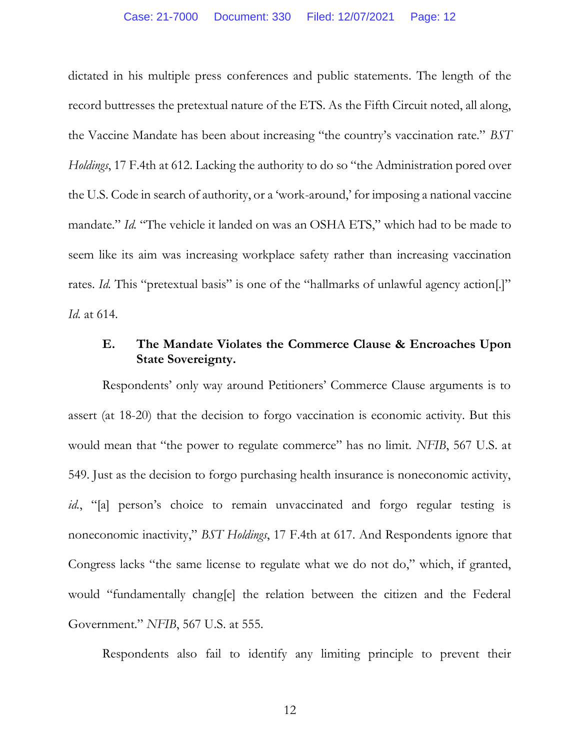dictated in his multiple press conferences and public statements. The length of the record buttresses the pretextual nature of the ETS. As the Fifth Circuit noted, all along, the Vaccine Mandate has been about increasing "the country's vaccination rate." *BST Holdings*, 17 F.4th at 612. Lacking the authority to do so "the Administration pored over the U.S. Code in search of authority, or a 'work-around,' for imposing a national vaccine mandate." *Id.* "The vehicle it landed on was an OSHA ETS," which had to be made to seem like its aim was increasing workplace safety rather than increasing vaccination rates. *Id.* This "pretextual basis" is one of the "hallmarks of unlawful agency action[.]" *Id.* at 614.

# **E. The Mandate Violates the Commerce Clause & Encroaches Upon State Sovereignty.**

Respondents' only way around Petitioners' Commerce Clause arguments is to assert (at 18-20) that the decision to forgo vaccination is economic activity. But this would mean that "the power to regulate commerce" has no limit. *NFIB*, 567 U.S. at 549. Just as the decision to forgo purchasing health insurance is noneconomic activity, *id.*, "[a] person's choice to remain unvaccinated and forgo regular testing is noneconomic inactivity," *BST Holdings*, 17 F.4th at 617. And Respondents ignore that Congress lacks "the same license to regulate what we do not do," which, if granted, would "fundamentally chang[e] the relation between the citizen and the Federal Government." *NFIB*, 567 U.S. at 555.

Respondents also fail to identify any limiting principle to prevent their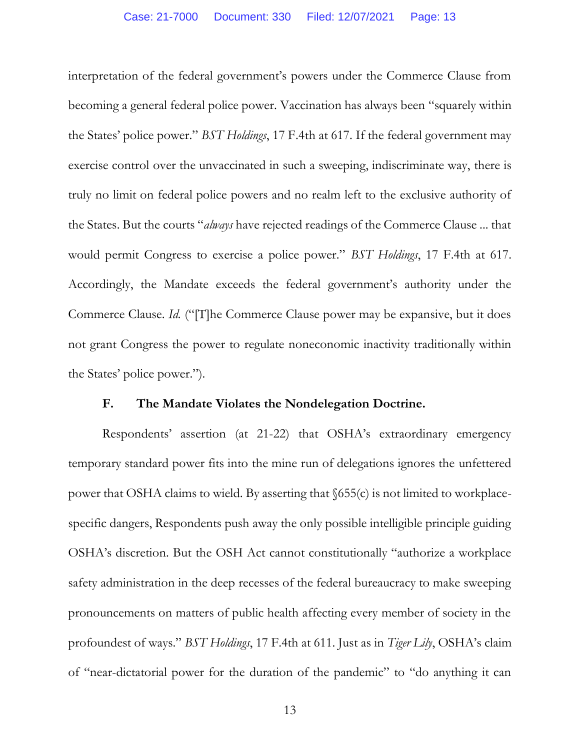interpretation of the federal government's powers under the Commerce Clause from becoming a general federal police power. Vaccination has always been "squarely within the States' police power." *BST Holdings*, 17 F.4th at 617. If the federal government may exercise control over the unvaccinated in such a sweeping, indiscriminate way, there is truly no limit on federal police powers and no realm left to the exclusive authority of the States. But the courts "*always* have rejected readings of the Commerce Clause ... that would permit Congress to exercise a police power." *BST Holdings*, 17 F.4th at 617. Accordingly, the Mandate exceeds the federal government's authority under the Commerce Clause. *Id.* ("[T]he Commerce Clause power may be expansive, but it does not grant Congress the power to regulate noneconomic inactivity traditionally within the States' police power.").

### **F. The Mandate Violates the Nondelegation Doctrine.**

Respondents' assertion (at 21-22) that OSHA's extraordinary emergency temporary standard power fits into the mine run of delegations ignores the unfettered power that OSHA claims to wield. By asserting that §655(c) is not limited to workplacespecific dangers, Respondents push away the only possible intelligible principle guiding OSHA's discretion. But the OSH Act cannot constitutionally "authorize a workplace safety administration in the deep recesses of the federal bureaucracy to make sweeping pronouncements on matters of public health affecting every member of society in the profoundest of ways." *BST Holdings*, 17 F.4th at 611. Just as in *Tiger Lily*, OSHA's claim of "near-dictatorial power for the duration of the pandemic" to "do anything it can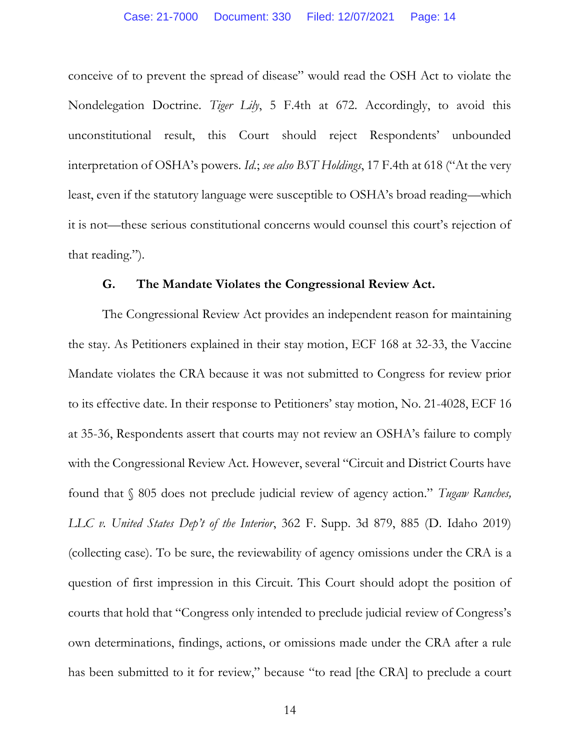conceive of to prevent the spread of disease" would read the OSH Act to violate the Nondelegation Doctrine. *Tiger Lily*, 5 F.4th at 672. Accordingly, to avoid this unconstitutional result, this Court should reject Respondents' unbounded interpretation of OSHA's powers. *Id.*; *see also BST Holdings*, 17 F.4th at 618 ("At the very least, even if the statutory language were susceptible to OSHA's broad reading—which it is not—these serious constitutional concerns would counsel this court's rejection of that reading.").

### **G. The Mandate Violates the Congressional Review Act.**

The Congressional Review Act provides an independent reason for maintaining the stay. As Petitioners explained in their stay motion, ECF 168 at 32-33, the Vaccine Mandate violates the CRA because it was not submitted to Congress for review prior to its effective date. In their response to Petitioners' stay motion, No. 21-4028, ECF 16 at 35-36, Respondents assert that courts may not review an OSHA's failure to comply with the Congressional Review Act. However, several "Circuit and District Courts have found that § 805 does not preclude judicial review of agency action." *Tugaw Ranches, LLC v. United States Dep't of the Interior*, 362 F. Supp. 3d 879, 885 (D. Idaho 2019) (collecting case). To be sure, the reviewability of agency omissions under the CRA is a question of first impression in this Circuit. This Court should adopt the position of courts that hold that "Congress only intended to preclude judicial review of Congress's own determinations, findings, actions, or omissions made under the CRA after a rule has been submitted to it for review," because "to read [the CRA] to preclude a court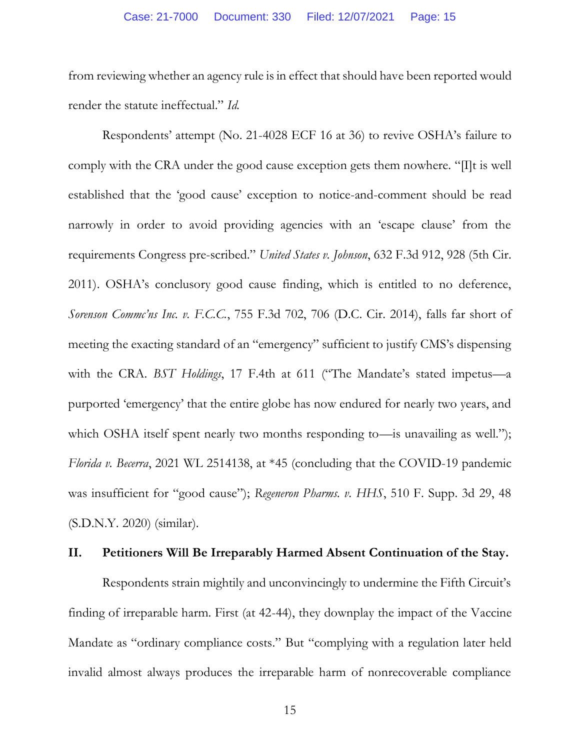from reviewing whether an agency rule is in effect that should have been reported would render the statute ineffectual." *Id.* 

Respondents' attempt (No. 21-4028 ECF 16 at 36) to revive OSHA's failure to comply with the CRA under the good cause exception gets them nowhere. "[I]t is well established that the 'good cause' exception to notice-and-comment should be read narrowly in order to avoid providing agencies with an 'escape clause' from the requirements Congress pre-scribed." *United States v. Johnson*, 632 F.3d 912, 928 (5th Cir. 2011). OSHA's conclusory good cause finding, which is entitled to no deference, *Sorenson Commc'ns Inc. v. F.C.C.*, 755 F.3d 702, 706 (D.C. Cir. 2014), falls far short of meeting the exacting standard of an "emergency" sufficient to justify CMS's dispensing with the CRA. *BST Holdings*, 17 F.4th at 611 ("The Mandate's stated impetus—a purported 'emergency' that the entire globe has now endured for nearly two years, and which OSHA itself spent nearly two months responding to—is unavailing as well."); *Florida v. Becerra*, 2021 WL 2514138, at \*45 (concluding that the COVID-19 pandemic was insufficient for "good cause"); *Regeneron Pharms. v. HHS*, 510 F. Supp. 3d 29, 48 (S.D.N.Y. 2020) (similar).

### **II. Petitioners Will Be Irreparably Harmed Absent Continuation of the Stay.**

Respondents strain mightily and unconvincingly to undermine the Fifth Circuit's finding of irreparable harm. First (at 42-44), they downplay the impact of the Vaccine Mandate as "ordinary compliance costs." But "complying with a regulation later held invalid almost always produces the irreparable harm of nonrecoverable compliance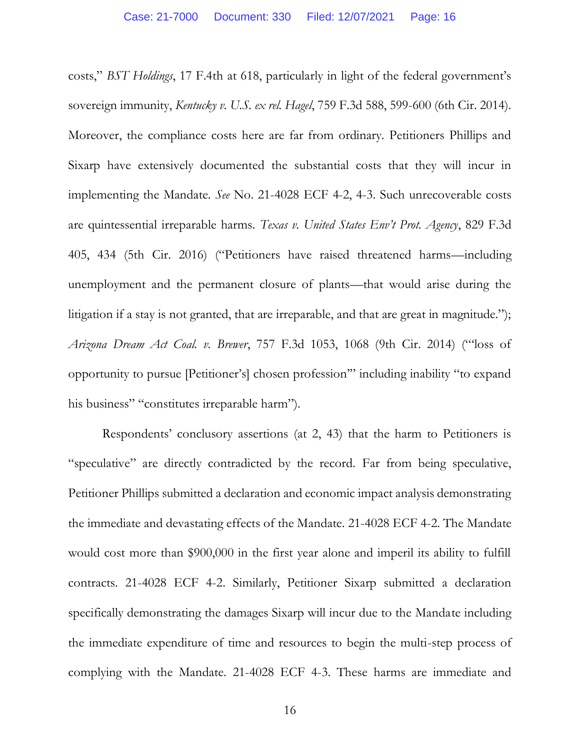costs," *BST Holdings*, 17 F.4th at 618, particularly in light of the federal government's sovereign immunity, *Kentucky v. U.S. ex rel. Hagel*, 759 F.3d 588, 599-600 (6th Cir. 2014). Moreover, the compliance costs here are far from ordinary. Petitioners Phillips and Sixarp have extensively documented the substantial costs that they will incur in implementing the Mandate. *See* No. 21-4028 ECF 4-2, 4-3. Such unrecoverable costs are quintessential irreparable harms. *Texas v. United States Env't Prot. Agency*, 829 F.3d 405, 434 (5th Cir. 2016) ("Petitioners have raised threatened harms—including unemployment and the permanent closure of plants—that would arise during the litigation if a stay is not granted, that are irreparable, and that are great in magnitude."); *Arizona Dream Act Coal. v. Brewer*, 757 F.3d 1053, 1068 (9th Cir. 2014) ("'loss of opportunity to pursue [Petitioner's] chosen profession'" including inability "to expand his business" "constitutes irreparable harm").

Respondents' conclusory assertions (at 2, 43) that the harm to Petitioners is "speculative" are directly contradicted by the record. Far from being speculative, Petitioner Phillips submitted a declaration and economic impact analysis demonstrating the immediate and devastating effects of the Mandate. 21-4028 ECF 4-2. The Mandate would cost more than \$900,000 in the first year alone and imperil its ability to fulfill contracts. 21-4028 ECF 4-2. Similarly, Petitioner Sixarp submitted a declaration specifically demonstrating the damages Sixarp will incur due to the Mandate including the immediate expenditure of time and resources to begin the multi-step process of complying with the Mandate. 21-4028 ECF 4-3. These harms are immediate and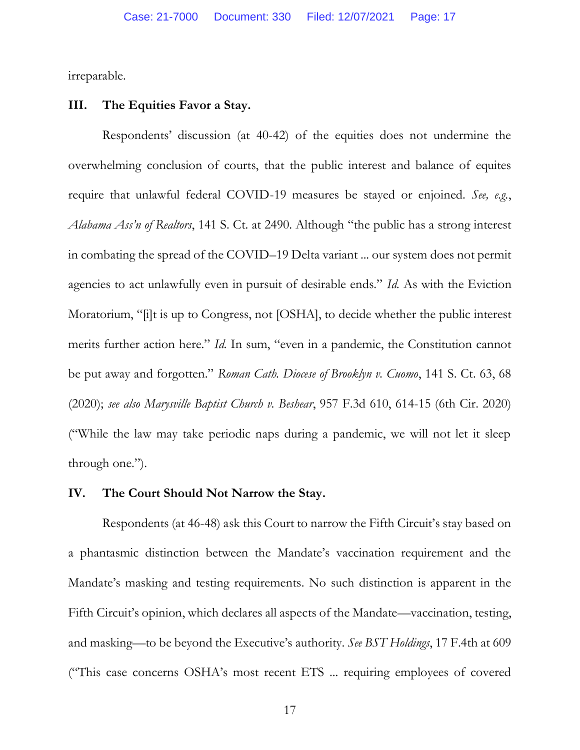irreparable.

### **III. The Equities Favor a Stay.**

Respondents' discussion (at 40-42) of the equities does not undermine the overwhelming conclusion of courts, that the public interest and balance of equites require that unlawful federal COVID-19 measures be stayed or enjoined. *See, e.g.*, *Alabama Ass'n of Realtors*, 141 S. Ct. at 2490. Although "the public has a strong interest in combating the spread of the COVID–19 Delta variant ... our system does not permit agencies to act unlawfully even in pursuit of desirable ends." *Id.* As with the Eviction Moratorium, "[i]t is up to Congress, not [OSHA], to decide whether the public interest merits further action here." *Id.* In sum, "even in a pandemic, the Constitution cannot be put away and forgotten." *Roman Cath. Diocese of Brooklyn v. Cuomo*, 141 S. Ct. 63, 68 (2020); *see also Marysville Baptist Church v. Beshear*, 957 F.3d 610, 614-15 (6th Cir. 2020) ("While the law may take periodic naps during a pandemic, we will not let it sleep through one.").

### **IV. The Court Should Not Narrow the Stay.**

Respondents (at 46-48) ask this Court to narrow the Fifth Circuit's stay based on a phantasmic distinction between the Mandate's vaccination requirement and the Mandate's masking and testing requirements. No such distinction is apparent in the Fifth Circuit's opinion, which declares all aspects of the Mandate—vaccination, testing, and masking—to be beyond the Executive's authority. *See BST Holdings*, 17 F.4th at 609 ("This case concerns OSHA's most recent ETS ... requiring employees of covered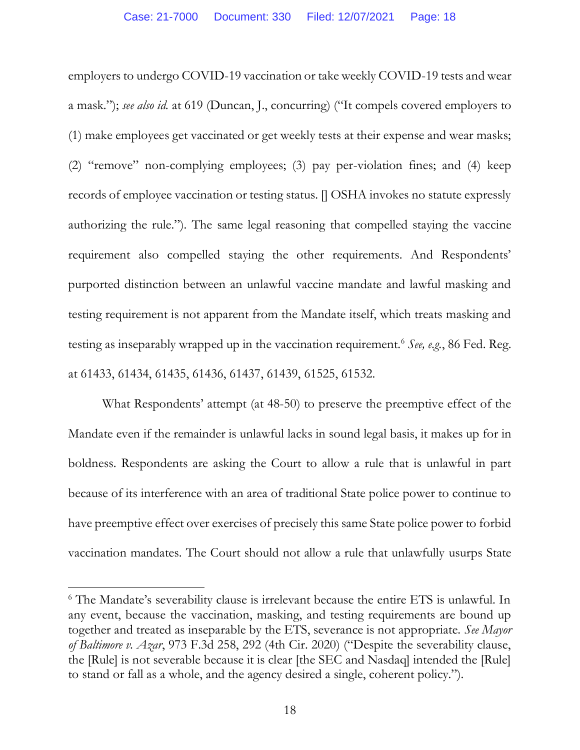employers to undergo COVID-19 vaccination or take weekly COVID-19 tests and wear a mask."); *see also id.* at 619 (Duncan, J., concurring) ("It compels covered employers to (1) make employees get vaccinated or get weekly tests at their expense and wear masks; (2) "remove" non-complying employees; (3) pay per-violation fines; and (4) keep records of employee vaccination or testing status. [] OSHA invokes no statute expressly authorizing the rule."). The same legal reasoning that compelled staying the vaccine requirement also compelled staying the other requirements. And Respondents' purported distinction between an unlawful vaccine mandate and lawful masking and testing requirement is not apparent from the Mandate itself, which treats masking and testing as inseparably wrapped up in the vaccination requirement.<sup>6</sup> *See, e.g.*, 86 Fed. Reg. at 61433, 61434, 61435, 61436, 61437, 61439, 61525, 61532.

What Respondents' attempt (at 48-50) to preserve the preemptive effect of the Mandate even if the remainder is unlawful lacks in sound legal basis, it makes up for in boldness. Respondents are asking the Court to allow a rule that is unlawful in part because of its interference with an area of traditional State police power to continue to have preemptive effect over exercises of precisely this same State police power to forbid vaccination mandates. The Court should not allow a rule that unlawfully usurps State

<sup>6</sup> The Mandate's severability clause is irrelevant because the entire ETS is unlawful. In any event, because the vaccination, masking, and testing requirements are bound up together and treated as inseparable by the ETS, severance is not appropriate. *See Mayor of Baltimore v. Azar*, 973 F.3d 258, 292 (4th Cir. 2020) ("Despite the severability clause, the [Rule] is not severable because it is clear [the SEC and Nasdaq] intended the [Rule] to stand or fall as a whole, and the agency desired a single, coherent policy.").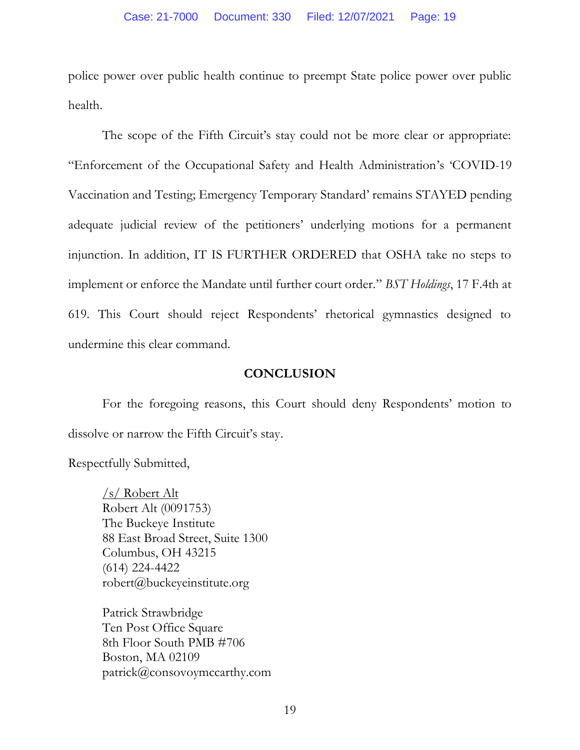police power over public health continue to preempt State police power over public health.

The scope of the Fifth Circuit's stay could not be more clear or appropriate: "Enforcement of the Occupational Safety and Health Administration's 'COVID-19 Vaccination and Testing; Emergency Temporary Standard' remains STAYED pending adequate judicial review of the petitioners' underlying motions for a permanent injunction. In addition, IT IS FURTHER ORDERED that OSHA take no steps to implement or enforce the Mandate until further court order." *BST Holdings*, 17 F.4th at 619. This Court should reject Respondents' rhetorical gymnastics designed to undermine this clear command.

### **CONCLUSION**

For the foregoing reasons, this Court should deny Respondents' motion to dissolve or narrow the Fifth Circuit's stay.

Respectfully Submitted,

/s/ Robert Alt Robert Alt (0091753) The Buckeye Institute 88 East Broad Street, Suite 1300 Columbus, OH 43215 (614) 224-4422 robert@buckeyeinstitute.org

Patrick Strawbridge Ten Post Office Square 8th Floor South PMB #706 Boston, MA 02109 patrick@consovoymccarthy.com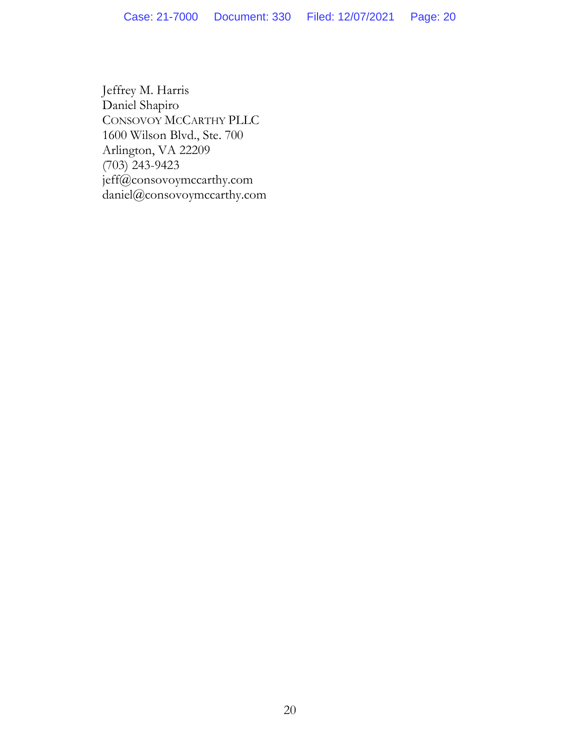Jeffrey M. Harris Daniel Shapiro CONSOVOY MCCARTHY PLLC 1600 Wilson Blvd., Ste. 700 Arlington, VA 22209 (703) 243-9423 jeff@consovoymccarthy.com daniel@consovoymccarthy.com